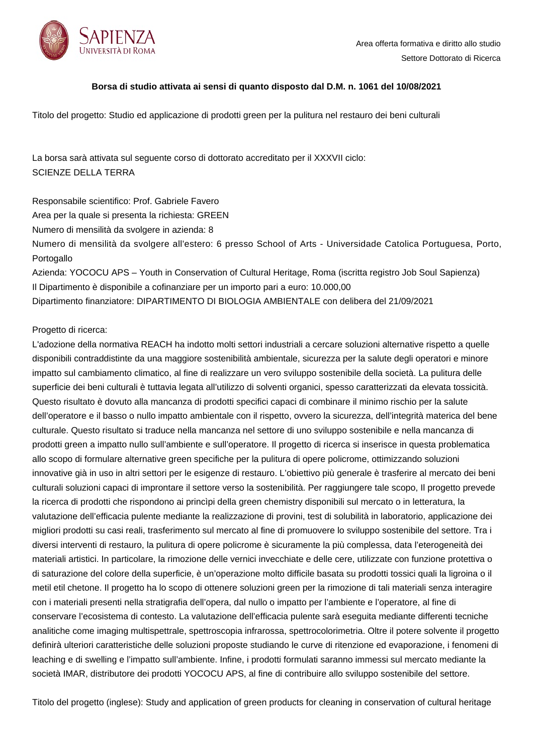

## **Borsa di studio attivata ai sensi di quanto disposto dal D.M. n. 1061 del 10/08/2021**

Titolo del progetto: Studio ed applicazione di prodotti green per la pulitura nel restauro dei beni culturali

La borsa sarà attivata sul seguente corso di dottorato accreditato per il XXXVII ciclo: SCIENZE DELLA TERRA

Responsabile scientifico: Prof. Gabriele Favero

Area per la quale si presenta la richiesta: GREEN

Numero di mensilità da svolgere in azienda: 8

Numero di mensilità da svolgere all'estero: 6 presso School of Arts - Universidade Catolica Portuguesa, Porto, Portogallo

Azienda: YOCOCU APS – Youth in Conservation of Cultural Heritage, Roma (iscritta registro Job Soul Sapienza) Il Dipartimento è disponibile a cofinanziare per un importo pari a euro: 10.000,00 Dipartimento finanziatore: DIPARTIMENTO DI BIOLOGIA AMBIENTALE con delibera del 21/09/2021

## Progetto di ricerca:

L'adozione della normativa REACH ha indotto molti settori industriali a cercare soluzioni alternative rispetto a quelle disponibili contraddistinte da una maggiore sostenibilità ambientale, sicurezza per la salute degli operatori e minore impatto sul cambiamento climatico, al fine di realizzare un vero sviluppo sostenibile della società. La pulitura delle superficie dei beni culturali è tuttavia legata all'utilizzo di solventi organici, spesso caratterizzati da elevata tossicità. Questo risultato è dovuto alla mancanza di prodotti specifici capaci di combinare il minimo rischio per la salute dell'operatore e il basso o nullo impatto ambientale con il rispetto, ovvero la sicurezza, dell'integrità materica del bene culturale. Questo risultato si traduce nella mancanza nel settore di uno sviluppo sostenibile e nella mancanza di prodotti green a impatto nullo sull'ambiente e sull'operatore. Il progetto di ricerca si inserisce in questa problematica allo scopo di formulare alternative green specifiche per la pulitura di opere policrome, ottimizzando soluzioni innovative già in uso in altri settori per le esigenze di restauro. L'obiettivo più generale è trasferire al mercato dei beni culturali soluzioni capaci di improntare il settore verso la sostenibilità. Per raggiungere tale scopo, Il progetto prevede la ricerca di prodotti che rispondono ai princìpi della green chemistry disponibili sul mercato o in letteratura, la valutazione dell'efficacia pulente mediante la realizzazione di provini, test di solubilità in laboratorio, applicazione dei migliori prodotti su casi reali, trasferimento sul mercato al fine di promuovere lo sviluppo sostenibile del settore. Tra i diversi interventi di restauro, la pulitura di opere policrome è sicuramente la più complessa, data l'eterogeneità dei materiali artistici. In particolare, la rimozione delle vernici invecchiate e delle cere, utilizzate con funzione protettiva o di saturazione del colore della superficie, è un'operazione molto difficile basata su prodotti tossici quali la ligroina o il metil etil chetone. Il progetto ha lo scopo di ottenere soluzioni green per la rimozione di tali materiali senza interagire con i materiali presenti nella stratigrafia dell'opera, dal nullo o impatto per l'ambiente e l'operatore, al fine di conservare l'ecosistema di contesto. La valutazione dell'efficacia pulente sarà eseguita mediante differenti tecniche analitiche come imaging multispettrale, spettroscopia infrarossa, spettrocolorimetria. Oltre il potere solvente il progetto definirà ulteriori caratteristiche delle soluzioni proposte studiando le curve di ritenzione ed evaporazione, i fenomeni di leaching e di swelling e l'impatto sull'ambiente. Infine, i prodotti formulati saranno immessi sul mercato mediante la società IMAR, distributore dei prodotti YOCOCU APS, al fine di contribuire allo sviluppo sostenibile del settore.

Titolo del progetto (inglese): Study and application of green products for cleaning in conservation of cultural heritage